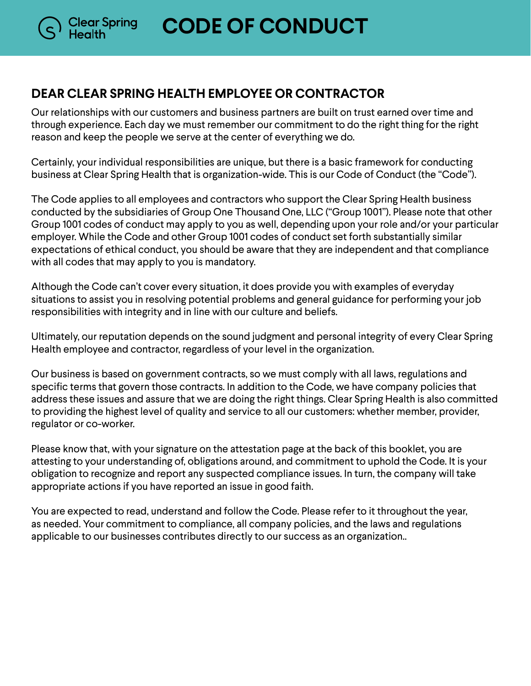**CODE OF CONDUCT**

#### **DEAR CLEAR SPRING HEALTH EMPLOYEE OR CONTRACTOR**

Clear Spring<br>Health

Our relationships with our customers and business partners are built on trust earned over time and through experience. Each day we must remember our commitment to do the right thing for the right reason and keep the people we serve at the center of everything we do.

Certainly, your individual responsibilities are unique, but there is a basic framework for conducting business at Clear Spring Health that is organization-wide. This is our Code of Conduct (the "Code").

The Code applies to all employees and contractors who support the Clear Spring Health business conducted by the subsidiaries of Group One Thousand One, LLC ("Group 1001"). Please note that other Group 1001 codes of conduct may apply to you as well, depending upon your role and/or your particular employer. While the Code and other Group 1001 codes of conduct set forth substantially similar expectations of ethical conduct, you should be aware that they are independent and that compliance with all codes that may apply to you is mandatory.

Although the Code can't cover every situation, it does provide you with examples of everyday situations to assist you in resolving potential problems and general guidance for performing your job responsibilities with integrity and in line with our culture and beliefs.

Ultimately, our reputation depends on the sound judgment and personal integrity of every Clear Spring Health employee and contractor, regardless of your level in the organization.

Our business is based on government contracts, so we must comply with all laws, regulations and specific terms that govern those contracts. In addition to the Code, we have company policies that address these issues and assure that we are doing the right things. Clear Spring Health is also committed to providing the highest level of quality and service to all our customers: whether member, provider, regulator or co-worker.

Please know that, with your signature on the attestation page at the back of this booklet, you are attesting to your understanding of, obligations around, and commitment to uphold the Code. It is your obligation to recognize and report any suspected compliance issues. In turn, the company will take appropriate actions if you have reported an issue in good faith.

You are expected to read, understand and follow the Code. Please refer to it throughout the year, as needed. Your commitment to compliance, all company policies, and the laws and regulations applicable to our businesses contributes directly to our success as an organization..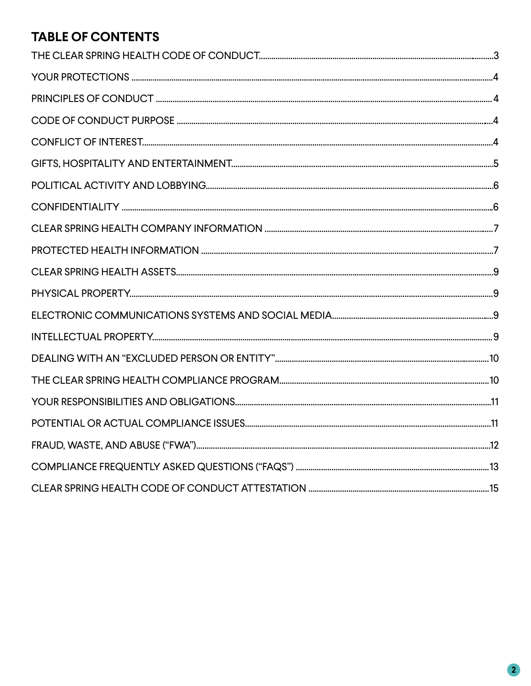# **TABLE OF CONTENTS**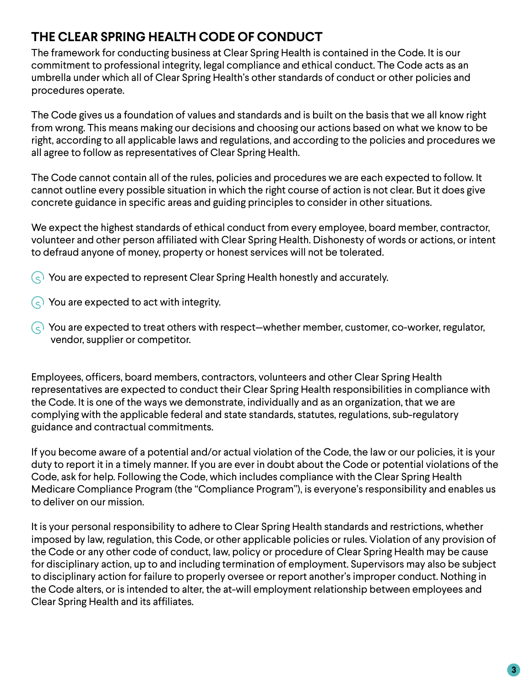## **THE CLEAR SPRING HEALTH CODE OF CONDUCT**

The framework for conducting business at Clear Spring Health is contained in the Code. It is our commitment to professional integrity, legal compliance and ethical conduct. The Code acts as an umbrella under which all of Clear Spring Health's other standards of conduct or other policies and procedures operate.

The Code gives us a foundation of values and standards and is built on the basis that we all know right from wrong. This means making our decisions and choosing our actions based on what we know to be right, according to all applicable laws and regulations, and according to the policies and procedures we all agree to follow as representatives of Clear Spring Health.

The Code cannot contain all of the rules, policies and procedures we are each expected to follow. It cannot outline every possible situation in which the right course of action is not clear. But it does give concrete guidance in specific areas and guiding principles to consider in other situations.

We expect the highest standards of ethical conduct from every employee, board member, contractor, volunteer and other person affiliated with Clear Spring Health. Dishonesty of words or actions, or intent to defraud anyone of money, property or honest services will not be tolerated.

- $\Diamond$  You are expected to represent Clear Spring Health honestly and accurately.
- $\left(\right\}$  You are expected to act with integrity.
- $\left(\right\in$  You are expected to treat others with respect—whether member, customer, co-worker, regulator, vendor, supplier or competitor.

Employees, officers, board members, contractors, volunteers and other Clear Spring Health representatives are expected to conduct their Clear Spring Health responsibilities in compliance with the Code. It is one of the ways we demonstrate, individually and as an organization, that we are complying with the applicable federal and state standards, statutes, regulations, sub-regulatory guidance and contractual commitments.

If you become aware of a potential and/or actual violation of the Code, the law or our policies, it is your duty to report it in a timely manner. If you are ever in doubt about the Code or potential violations of the Code, ask for help. Following the Code, which includes compliance with the Clear Spring Health Medicare Compliance Program (the "Compliance Program"), is everyone's responsibility and enables us to deliver on our mission.

It is your personal responsibility to adhere to Clear Spring Health standards and restrictions, whether imposed by law, regulation, this Code, or other applicable policies or rules. Violation of any provision of the Code or any other code of conduct, law, policy or procedure of Clear Spring Health may be cause for disciplinary action, up to and including termination of employment. Supervisors may also be subject to disciplinary action for failure to properly oversee or report another's improper conduct. Nothing in the Code alters, or is intended to alter, the at-will employment relationship between employees and Clear Spring Health and its affiliates.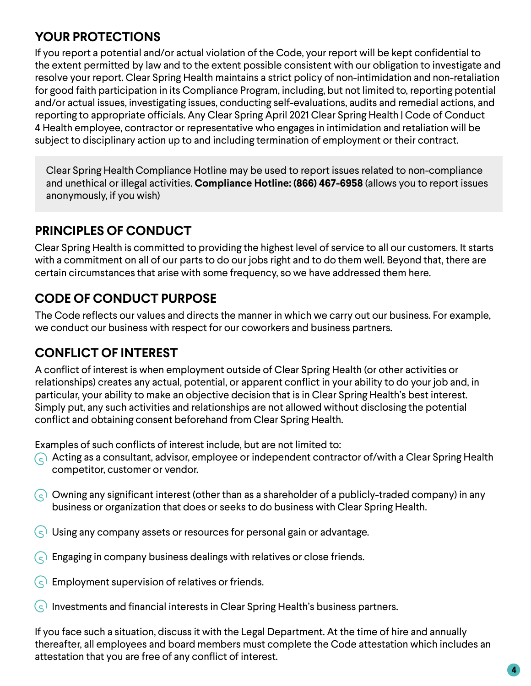## **YOUR PROTECTIONS**

If you report a potential and/or actual violation of the Code, your report will be kept confidential to the extent permitted by law and to the extent possible consistent with our obligation to investigate and resolve your report. Clear Spring Health maintains a strict policy of non-intimidation and non-retaliation for good faith participation in its Compliance Program, including, but not limited to, reporting potential and/or actual issues, investigating issues, conducting self-evaluations, audits and remedial actions, and reporting to appropriate officials. Any Clear Spring April 2021 Clear Spring Health | Code of Conduct 4 Health employee, contractor or representative who engages in intimidation and retaliation will be subject to disciplinary action up to and including termination of employment or their contract.

Clear Spring Health Compliance Hotline may be used to report issues related to non-compliance and unethical or illegal activities. **Compliance Hotline: (866) 467-6958** (allows you to report issues anonymously, if you wish)

## **PRINCIPLES OF CONDUCT**

Clear Spring Health is committed to providing the highest level of service to all our customers. It starts with a commitment on all of our parts to do our jobs right and to do them well. Beyond that, there are certain circumstances that arise with some frequency, so we have addressed them here.

## **CODE OF CONDUCT PURPOSE**

The Code reflects our values and directs the manner in which we carry out our business. For example, we conduct our business with respect for our coworkers and business partners.

## **CONFLICT OF INTEREST**

A conflict of interest is when employment outside of Clear Spring Health (or other activities or relationships) creates any actual, potential, or apparent conflict in your ability to do your job and, in particular, your ability to make an objective decision that is in Clear Spring Health's best interest. Simply put, any such activities and relationships are not allowed without disclosing the potential conflict and obtaining consent beforehand from Clear Spring Health.

Examples of such conflicts of interest include, but are not limited to:

- $\Diamond$  Acting as a consultant, advisor, employee or independent contractor of/with a Clear Spring Health competitor, customer or vendor.
- $\left(\right.\infty\right)$  Owning any significant interest (other than as a shareholder of a publicly-traded company) in any business or organization that does or seeks to do business with Clear Spring Health.
- $\overline{S}(s)$  Using any company assets or resources for personal gain or advantage.
- $\bigodot$  Engaging in company business dealings with relatives or close friends.
- $\left($  Employment supervision of relatives or friends.
- $\varsigma$  Investments and financial interests in Clear Spring Health's business partners.

If you face such a situation, discuss it with the Legal Department. At the time of hire and annually thereafter, all employees and board members must complete the Code attestation which includes an attestation that you are free of any conflict of interest.

**4**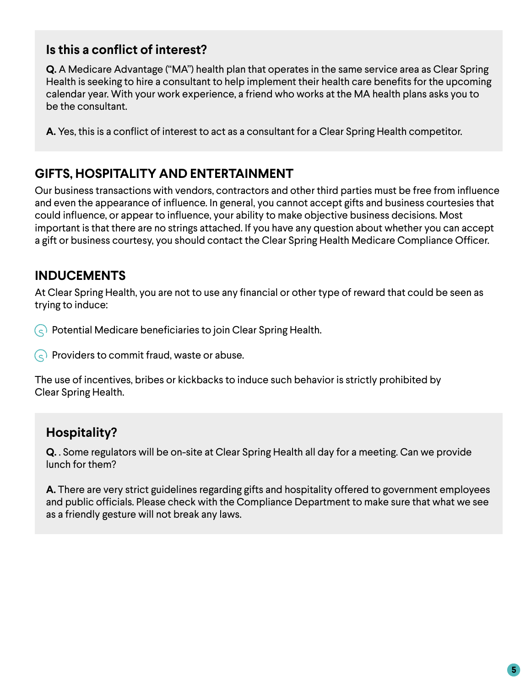## **Is this a conflict of interest?**

**Q.** A Medicare Advantage ("MA") health plan that operates in the same service area as Clear Spring Health is seeking to hire a consultant to help implement their health care benefits for the upcoming calendar year. With your work experience, a friend who works at the MA health plans asks you to be the consultant.

**A.** Yes, this is a conflict of interest to act as a consultant for a Clear Spring Health competitor.

## **GIFTS, HOSPITALITY AND ENTERTAINMENT**

Our business transactions with vendors, contractors and other third parties must be free from influence and even the appearance of influence. In general, you cannot accept gifts and business courtesies that could influence, or appear to influence, your ability to make objective business decisions. Most important is that there are no strings attached. If you have any question about whether you can accept a gift or business courtesy, you should contact the Clear Spring Health Medicare Compliance Officer.

## **INDUCEMENTS**

At Clear Spring Health, you are not to use any financial or other type of reward that could be seen as trying to induce:

 $\varsigma$  Potential Medicare beneficiaries to join Clear Spring Health.

 $\left( \right.$  Providers to commit fraud, waste or abuse.

The use of incentives, bribes or kickbacks to induce such behavior is strictly prohibited by Clear Spring Health.

## **Hospitality?**

**Q.** . Some regulators will be on-site at Clear Spring Health all day for a meeting. Can we provide lunch for them?

**A.** There are very strict guidelines regarding gifts and hospitality offered to government employees and public officials. Please check with the Compliance Department to make sure that what we see as a friendly gesture will not break any laws.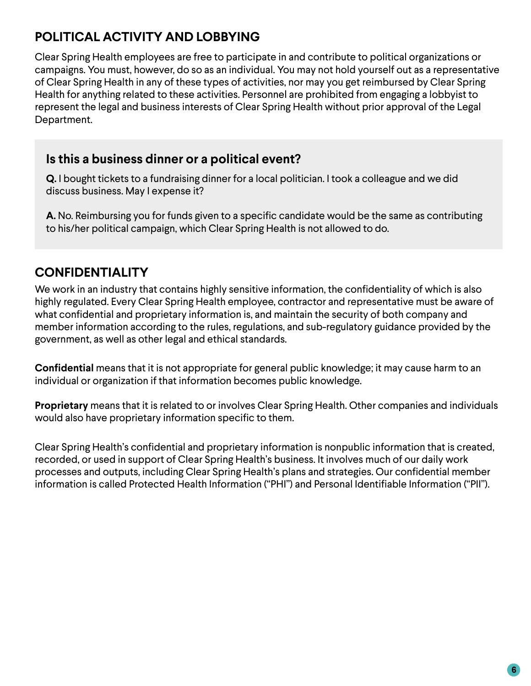# **POLITICAL ACTIVITY AND LOBBYING**

Clear Spring Health employees are free to participate in and contribute to political organizations or campaigns. You must, however, do so as an individual. You may not hold yourself out as a representative of Clear Spring Health in any of these types of activities, nor may you get reimbursed by Clear Spring Health for anything related to these activities. Personnel are prohibited from engaging a lobbyist to represent the legal and business interests of Clear Spring Health without prior approval of the Legal Department.

## **Is this a business dinner or a political event?**

**Q.** I bought tickets to a fundraising dinner for a local politician. I took a colleague and we did discuss business. May I expense it?

**A.** No. Reimbursing you for funds given to a specific candidate would be the same as contributing to his/her political campaign, which Clear Spring Health is not allowed to do.

# **CONFIDENTIALITY**

We work in an industry that contains highly sensitive information, the confidentiality of which is also highly regulated. Every Clear Spring Health employee, contractor and representative must be aware of what confidential and proprietary information is, and maintain the security of both company and member information according to the rules, regulations, and sub-regulatory guidance provided by the government, as well as other legal and ethical standards.

**Confidential** means that it is not appropriate for general public knowledge; it may cause harm to an individual or organization if that information becomes public knowledge.

**Proprietary** means that it is related to or involves Clear Spring Health. Other companies and individuals would also have proprietary information specific to them.

Clear Spring Health's confidential and proprietary information is nonpublic information that is created, recorded, or used in support of Clear Spring Health's business. It involves much of our daily work processes and outputs, including Clear Spring Health's plans and strategies. Our confidential member information is called Protected Health Information ("PHI") and Personal Identifiable Information ("PII").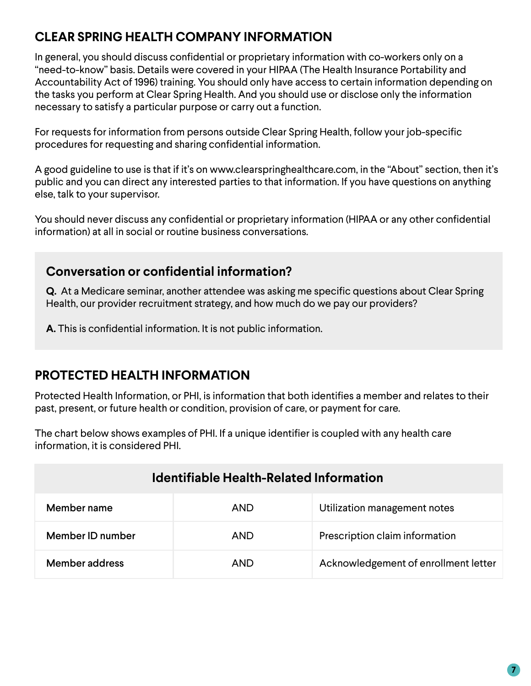## **CLEAR SPRING HEALTH COMPANY INFORMATION**

In general, you should discuss confidential or proprietary information with co-workers only on a "need-to-know" basis. Details were covered in your HIPAA (The Health Insurance Portability and Accountability Act of 1996) training. You should only have access to certain information depending on the tasks you perform at Clear Spring Health. And you should use or disclose only the information necessary to satisfy a particular purpose or carry out a function.

For requests for information from persons outside Clear Spring Health, follow your job-specific procedures for requesting and sharing confidential information.

A good guideline to use is that if it's on www.clearspringhealthcare.com, in the "About" section, then it's public and you can direct any interested parties to that information. If you have questions on anything else, talk to your supervisor.

You should never discuss any confidential or proprietary information (HIPAA or any other confidential information) at all in social or routine business conversations.

## **Conversation or confidential information?**

**Q.** At a Medicare seminar, another attendee was asking me specific questions about Clear Spring Health, our provider recruitment strategy, and how much do we pay our providers?

**A.** This is confidential information. It is not public information.

## **PROTECTED HEALTH INFORMATION**

Protected Health Information, or PHI, is information that both identifies a member and relates to their past, present, or future health or condition, provision of care, or payment for care.

The chart below shows examples of PHI. If a unique identifier is coupled with any health care information, it is considered PHI.

| <b>Identifiable Health-Related Information</b> |            |                                      |  |
|------------------------------------------------|------------|--------------------------------------|--|
| Member name                                    | <b>AND</b> | Utilization management notes         |  |
| Member ID number                               | <b>AND</b> | Prescription claim information       |  |
| Member address                                 | <b>AND</b> | Acknowledgement of enrollment letter |  |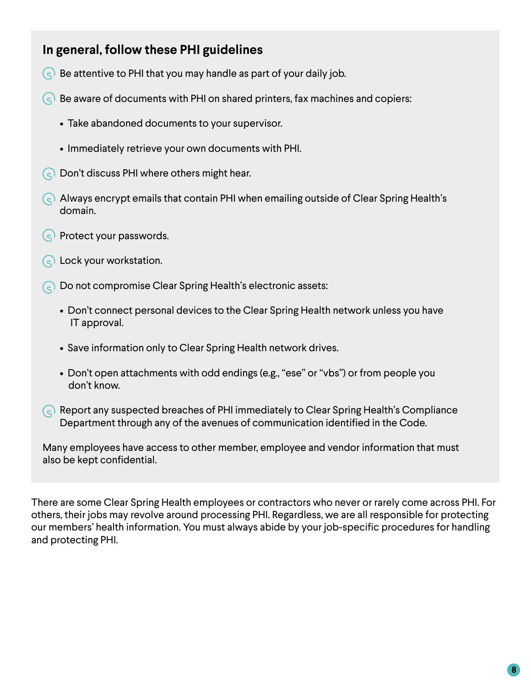#### **In general, follow these PHI guidelines**

- $\varsigma$  Be attentive to PHI that you may handle as part of your daily job.
- $\left(\varsigma\right)$  Be aware of documents with PHI on shared printers, fax machines and copiers:
	- Take abandoned documents to your supervisor.
	- Immediately retrieve your own documents with PHI.
- $\bigcirc$  Don't discuss PHI where others might hear.
- $\infty$  Always encrypt emails that contain PHI when emailing outside of Clear Spring Health's domain.
- $\left(\varsigma\right)$  Protect your passwords.
- $\left(\right.\infty\right)$  Lock your workstation.
- Do not compromise Clear Spring Health's electronic assets:
	- Don't connect personal devices to the Clear Spring Health network unless you have IT approval.
	- Save information only to Clear Spring Health network drives.
	- Don't open attachments with odd endings (e.g., "ese" or "vbs") or from people you don't know.
- $\odot$  Report any suspected breaches of PHI immediately to Clear Spring Health's Compliance Department through any of the avenues of communication identified in the Code.

Many employees have access to other member, employee and vendor information that must also be kept confidential.

There are some Clear Spring Health employees or contractors who never or rarely come across PHI. For others, their jobs may revolve around processing PHI. Regardless, we are all responsible for protecting our members' health information. You must always abide by your job-specific procedures for handling and protecting PHI.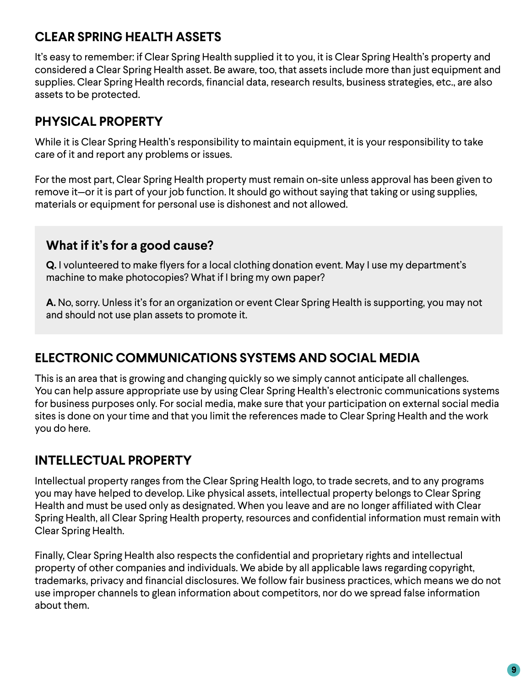## **CLEAR SPRING HEALTH ASSETS**

It's easy to remember: if Clear Spring Health supplied it to you, it is Clear Spring Health's property and considered a Clear Spring Health asset. Be aware, too, that assets include more than just equipment and supplies. Clear Spring Health records, financial data, research results, business strategies, etc., are also assets to be protected.

#### **PHYSICAL PROPERTY**

While it is Clear Spring Health's responsibility to maintain equipment, it is your responsibility to take care of it and report any problems or issues.

For the most part, Clear Spring Health property must remain on-site unless approval has been given to remove it—or it is part of your job function. It should go without saying that taking or using supplies, materials or equipment for personal use is dishonest and not allowed.

## **What if it's for a good cause?**

**Q.** I volunteered to make flyers for a local clothing donation event. May I use my department's machine to make photocopies? What if I bring my own paper?

**A.** No, sorry. Unless it's for an organization or event Clear Spring Health is supporting, you may not and should not use plan assets to promote it.

## **ELECTRONIC COMMUNICATIONS SYSTEMS AND SOCIAL MEDIA**

This is an area that is growing and changing quickly so we simply cannot anticipate all challenges. You can help assure appropriate use by using Clear Spring Health's electronic communications systems for business purposes only. For social media, make sure that your participation on external social media sites is done on your time and that you limit the references made to Clear Spring Health and the work you do here.

## **INTELLECTUAL PROPERTY**

Intellectual property ranges from the Clear Spring Health logo, to trade secrets, and to any programs you may have helped to develop. Like physical assets, intellectual property belongs to Clear Spring Health and must be used only as designated. When you leave and are no longer affiliated with Clear Spring Health, all Clear Spring Health property, resources and confidential information must remain with Clear Spring Health.

Finally, Clear Spring Health also respects the confidential and proprietary rights and intellectual property of other companies and individuals. We abide by all applicable laws regarding copyright, trademarks, privacy and financial disclosures. We follow fair business practices, which means we do not use improper channels to glean information about competitors, nor do we spread false information about them.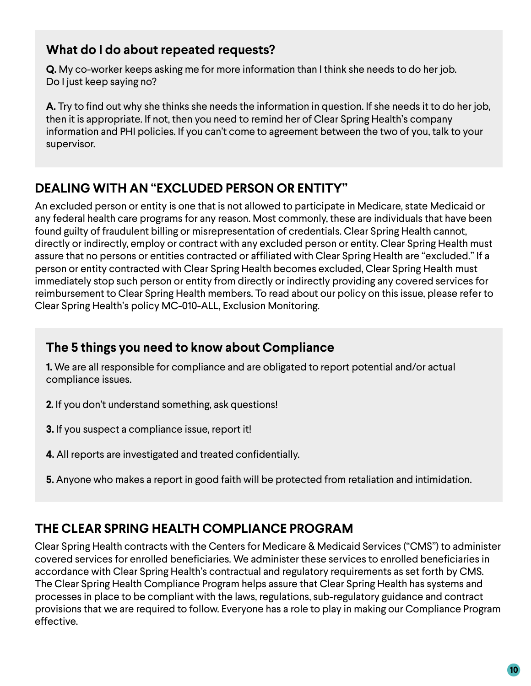## **What do I do about repeated requests?**

**Q.** My co-worker keeps asking me for more information than I think she needs to do her job. Do I just keep saying no?

**A.** Try to find out why she thinks she needs the information in question. If she needs it to do her job, then it is appropriate. If not, then you need to remind her of Clear Spring Health's company information and PHI policies. If you can't come to agreement between the two of you, talk to your supervisor.

## **DEALING WITH AN "EXCLUDED PERSON OR ENTITY"**

An excluded person or entity is one that is not allowed to participate in Medicare, state Medicaid or any federal health care programs for any reason. Most commonly, these are individuals that have been found guilty of fraudulent billing or misrepresentation of credentials. Clear Spring Health cannot, directly or indirectly, employ or contract with any excluded person or entity. Clear Spring Health must assure that no persons or entities contracted or affiliated with Clear Spring Health are "excluded." If a person or entity contracted with Clear Spring Health becomes excluded, Clear Spring Health must immediately stop such person or entity from directly or indirectly providing any covered services for reimbursement to Clear Spring Health members. To read about our policy on this issue, please refer to Clear Spring Health's policy MC-010-ALL, Exclusion Monitoring.

## **The 5 things you need to know about Compliance**

**1.** We are all responsible for compliance and are obligated to report potential and/or actual compliance issues.

- **2.** If you don't understand something, ask questions!
- **3.** If you suspect a compliance issue, report it!
- **4.** All reports are investigated and treated confidentially.
- **5.** Anyone who makes a report in good faith will be protected from retaliation and intimidation.

## **THE CLEAR SPRING HEALTH COMPLIANCE PROGRAM**

Clear Spring Health contracts with the Centers for Medicare & Medicaid Services ("CMS") to administer covered services for enrolled beneficiaries. We administer these services to enrolled beneficiaries in accordance with Clear Spring Health's contractual and regulatory requirements as set forth by CMS. The Clear Spring Health Compliance Program helps assure that Clear Spring Health has systems and processes in place to be compliant with the laws, regulations, sub-regulatory guidance and contract provisions that we are required to follow. Everyone has a role to play in making our Compliance Program effective.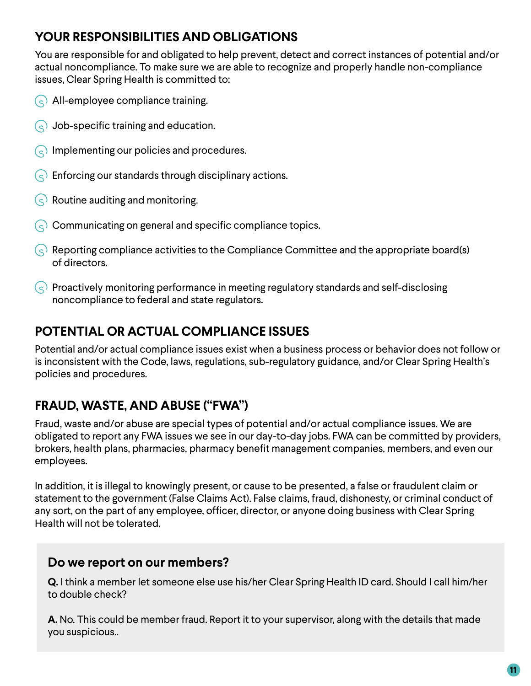## **YOUR RESPONSIBILITIES AND OBLIGATIONS**

You are responsible for and obligated to help prevent, detect and correct instances of potential and/or actual noncompliance. To make sure we are able to recognize and properly handle non-compliance issues, Clear Spring Health is committed to:

- All-employee compliance training.
- $\left(\right.\infty\right)$  Job-specific training and education.
- Implementing our policies and procedures.
- Enforcing our standards through disciplinary actions.
- Routine auditing and monitoring.
- $\odot$  Communicating on general and specific compliance topics.
- $(\varsigma)$  Reporting compliance activities to the Compliance Committee and the appropriate board(s) of directors.
- $(\leq)$  Proactively monitoring performance in meeting regulatory standards and self-disclosing noncompliance to federal and state regulators.

## **POTENTIAL OR ACTUAL COMPLIANCE ISSUES**

Potential and/or actual compliance issues exist when a business process or behavior does not follow or is inconsistent with the Code, laws, regulations, sub-regulatory guidance, and/or Clear Spring Health's policies and procedures.

# **FRAUD, WASTE, AND ABUSE ("FWA")**

Fraud, waste and/or abuse are special types of potential and/or actual compliance issues. We are obligated to report any FWA issues we see in our day-to-day jobs. FWA can be committed by providers, brokers, health plans, pharmacies, pharmacy benefit management companies, members, and even our employees.

In addition, it is illegal to knowingly present, or cause to be presented, a false or fraudulent claim or statement to the government (False Claims Act). False claims, fraud, dishonesty, or criminal conduct of any sort, on the part of any employee, officer, director, or anyone doing business with Clear Spring Health will not be tolerated.

#### **Do we report on our members?**

**Q.** I think a member let someone else use his/her Clear Spring Health ID card. Should I call him/her to double check?

**A.** No. This could be member fraud. Report it to your supervisor, along with the details that made you suspicious..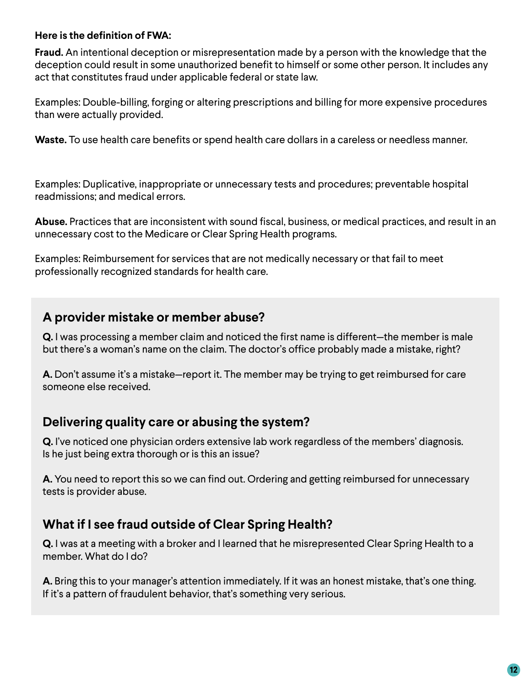#### **Here is the definition of FWA:**

**Fraud.** An intentional deception or misrepresentation made by a person with the knowledge that the deception could result in some unauthorized benefit to himself or some other person. It includes any act that constitutes fraud under applicable federal or state law.

Examples: Double-billing, forging or altering prescriptions and billing for more expensive procedures than were actually provided.

**Waste.** To use health care benefits or spend health care dollars in a careless or needless manner.

Examples: Duplicative, inappropriate or unnecessary tests and procedures; preventable hospital readmissions; and medical errors.

**Abuse.** Practices that are inconsistent with sound fiscal, business, or medical practices, and result in an unnecessary cost to the Medicare or Clear Spring Health programs.

Examples: Reimbursement for services that are not medically necessary or that fail to meet professionally recognized standards for health care.

#### **A provider mistake or member abuse?**

**Q.** I was processing a member claim and noticed the first name is different—the member is male but there's a woman's name on the claim. The doctor's office probably made a mistake, right?

**A.** Don't assume it's a mistake—report it. The member may be trying to get reimbursed for care someone else received.

#### **Delivering quality care or abusing the system?**

**Q.** I've noticed one physician orders extensive lab work regardless of the members' diagnosis. Is he just being extra thorough or is this an issue?

**A.** You need to report this so we can find out. Ordering and getting reimbursed for unnecessary tests is provider abuse.

## **What if I see fraud outside of Clear Spring Health?**

**Q.** I was at a meeting with a broker and I learned that he misrepresented Clear Spring Health to a member. What do I do?

**A.** Bring this to your manager's attention immediately. If it was an honest mistake, that's one thing. If it's a pattern of fraudulent behavior, that's something very serious.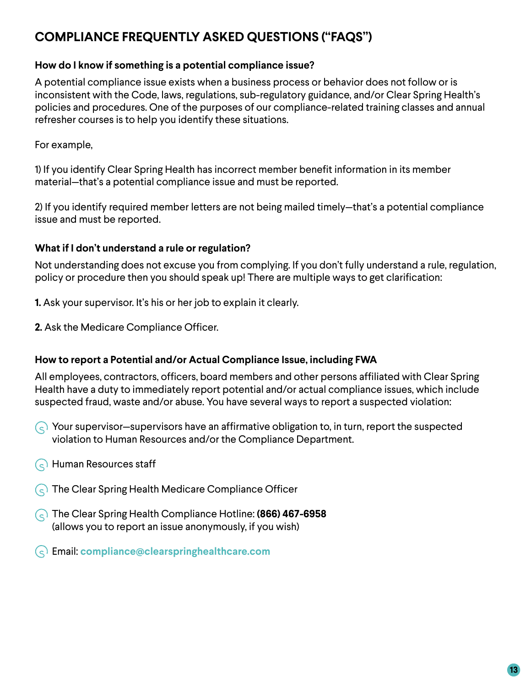# **COMPLIANCE FREQUENTLY ASKED QUESTIONS ("FAQS")**

#### **How do I know if something is a potential compliance issue?**

A potential compliance issue exists when a business process or behavior does not follow or is inconsistent with the Code, laws, regulations, sub-regulatory guidance, and/or Clear Spring Health's policies and procedures. One of the purposes of our compliance-related training classes and annual refresher courses is to help you identify these situations.

For example,

1) If you identify Clear Spring Health has incorrect member benefit information in its member material—that's a potential compliance issue and must be reported.

2) If you identify required member letters are not being mailed timely—that's a potential compliance issue and must be reported.

#### **What if I don't understand a rule or regulation?**

Not understanding does not excuse you from complying. If you don't fully understand a rule, regulation, policy or procedure then you should speak up! There are multiple ways to get clarification:

**1.** Ask your supervisor. It's his or her job to explain it clearly.

**2.** Ask the Medicare Compliance Officer.

#### **How to report a Potential and/or Actual Compliance Issue, including FWA**

All employees, contractors, officers, board members and other persons affiliated with Clear Spring Health have a duty to immediately report potential and/or actual compliance issues, which include suspected fraud, waste and/or abuse. You have several ways to report a suspected violation:

 $\odot$  Your supervisor—supervisors have an affirmative obligation to, in turn, report the suspected violation to Human Resources and/or the Compliance Department.

- **Resources staff**
- **C** The Clear Spring Health Medicare Compliance Officer
- The Clear Spring Health Compliance Hotline: **(866) 467-6958** (allows you to report an issue anonymously, if you wish)
- Email: **compliance@clearspringhealthcare.com**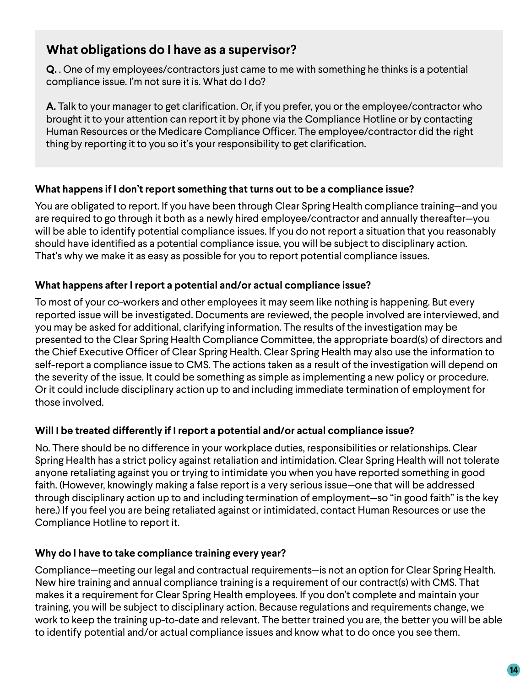## **What obligations do I have as a supervisor?**

**Q.** . One of my employees/contractors just came to me with something he thinks is a potential compliance issue. I'm not sure it is. What do I do?

**A.** Talk to your manager to get clarification. Or, if you prefer, you or the employee/contractor who brought it to your attention can report it by phone via the Compliance Hotline or by contacting Human Resources or the Medicare Compliance Officer. The employee/contractor did the right thing by reporting it to you so it's your responsibility to get clarification.

#### **What happens if I don't report something that turns out to be a compliance issue?**

You are obligated to report. If you have been through Clear Spring Health compliance training—and you are required to go through it both as a newly hired employee/contractor and annually thereafter—you will be able to identify potential compliance issues. If you do not report a situation that you reasonably should have identified as a potential compliance issue, you will be subject to disciplinary action. That's why we make it as easy as possible for you to report potential compliance issues.

#### **What happens after I report a potential and/or actual compliance issue?**

To most of your co-workers and other employees it may seem like nothing is happening. But every reported issue will be investigated. Documents are reviewed, the people involved are interviewed, and you may be asked for additional, clarifying information. The results of the investigation may be presented to the Clear Spring Health Compliance Committee, the appropriate board(s) of directors and the Chief Executive Officer of Clear Spring Health. Clear Spring Health may also use the information to self-report a compliance issue to CMS. The actions taken as a result of the investigation will depend on the severity of the issue. It could be something as simple as implementing a new policy or procedure. Or it could include disciplinary action up to and including immediate termination of employment for those involved.

#### **Will I be treated differently if I report a potential and/or actual compliance issue?**

No. There should be no difference in your workplace duties, responsibilities or relationships. Clear Spring Health has a strict policy against retaliation and intimidation. Clear Spring Health will not tolerate anyone retaliating against you or trying to intimidate you when you have reported something in good faith. (However, knowingly making a false report is a very serious issue—one that will be addressed through disciplinary action up to and including termination of employment—so "in good faith" is the key here.) If you feel you are being retaliated against or intimidated, contact Human Resources or use the Compliance Hotline to report it.

#### **Why do I have to take compliance training every year?**

Compliance—meeting our legal and contractual requirements—is not an option for Clear Spring Health. New hire training and annual compliance training is a requirement of our contract(s) with CMS. That makes it a requirement for Clear Spring Health employees. If you don't complete and maintain your training, you will be subject to disciplinary action. Because regulations and requirements change, we work to keep the training up-to-date and relevant. The better trained you are, the better you will be able to identify potential and/or actual compliance issues and know what to do once you see them.